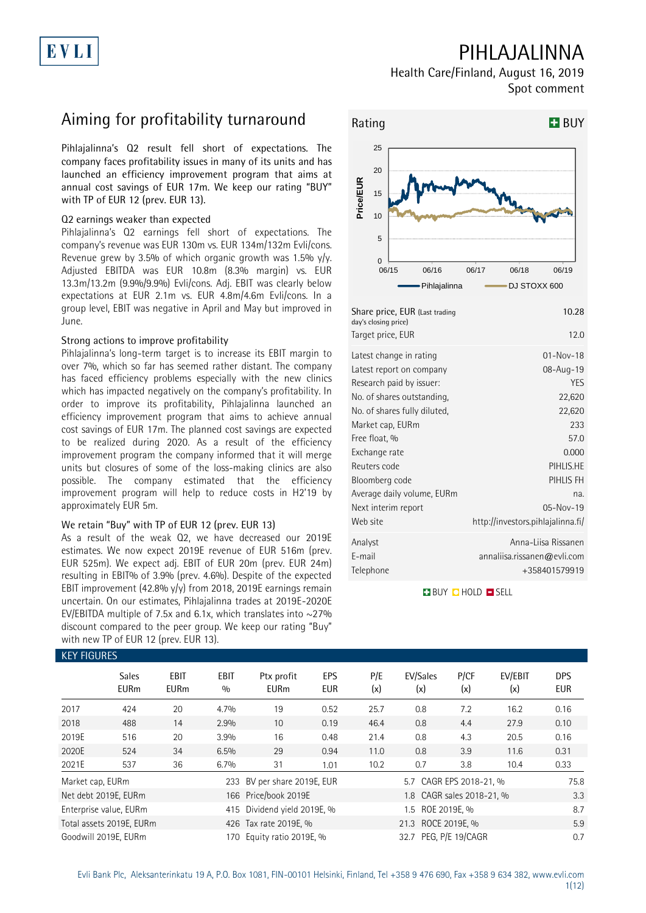# EVLI

## PIHLAJALINNA

Health Care/Finland, August 16, 2019 Spot comment

## Aiming for profitability turnaround

Pihlajalinna's Q2 result fell short of expectations. The company faces profitability issues in many of its units and has launched an efficiency improvement program that aims at annual cost savings of EUR 17m. We keep our rating "BUY" with TP of EUR 12 (prev. EUR 13).

### Q2 earnings weaker than expected

Pihlajalinna's Q2 earnings fell short of expectations. The company's revenue was EUR 130m vs. EUR 134m/132m Evli/cons. Revenue grew by 3.5% of which organic growth was 1.5%  $y/y$ . Adjusted EBITDA was EUR 10.8m (8.3% margin) vs. EUR 13.3m/13.2m (9.9%/9.9%) Evli/cons. Adj. EBIT was clearly below expectations at EUR 2.1m vs. EUR 4.8m/4.6m Evli/cons. In a group level, EBIT was negative in April and May but improved in June.

### Strong actions to improve profitability

Pihlajalinna's long-term target is to increase its EBIT margin to over 7%, which so far has seemed rather distant. The company has faced efficiency problems especially with the new clinics which has impacted negatively on the company's profitability. In order to improve its profitability, Pihlajalinna launched an efficiency improvement program that aims to achieve annual cost savings of EUR 17m. The planned cost savings are expected to be realized during 2020. As a result of the efficiency improvement program the company informed that it will merge units but closures of some of the loss-making clinics are also possible. The company estimated that the efficiency improvement program will help to reduce costs in H2'19 by approximately EUR 5m.

#### We retain "Buy" with TP of EUR 12 (prev. EUR 13)

As a result of the weak Q2, we have decreased our 2019E estimates. We now expect 2019E revenue of EUR 516m (prev. EUR 525m). We expect adj. EBIT of EUR 20m (prev. EUR 24m) resulting in EBIT% of 3.9% (prev. 4.6%). Despite of the expected EBIT improvement (42.8% y/y) from 2018, 2019E earnings remain uncertain. On our estimates, Pihlajalinna trades at 2019E-2020E EV/EBITDA multiple of 7.5x and 6.1x, which translates into  $\sim$ 27% discount compared to the peer group. We keep our rating "Buy" with new TP of EUR 12 (prev. EUR 13).



| day's closing price)<br>Target price, EUR | 12.0                              |
|-------------------------------------------|-----------------------------------|
| Latest change in rating                   | $01 - Nov - 18$                   |
| Latest report on company                  | 08-Aug-19                         |
| Research paid by issuer:                  | YES                               |
| No. of shares outstanding,                | 22,620                            |
| No. of shares fully diluted,              | 22,620                            |
| Market cap, EURm                          | 233                               |
| Free float, %                             | 57.0                              |
| Exchange rate                             | 0.000                             |
| Reuters code                              | PIHLIS.HE                         |
| Bloomberg code                            | PIHLIS FH                         |
| Average daily volume, EURm                | na.                               |
| Next interim report                       | $05 - Nov - 19$                   |
| Web site                                  | http://investors.pihlajalinna.fi/ |
| Analyst                                   | Anna-Liisa Rissanen               |
| E-mail                                    | annaliisa.rissanen@evli.com       |
| Telephone                                 | +358401579919                     |
|                                           |                                   |

**BUY CHOLD ESELL** 

| KET FIUUKES                 |                     |                          |                           |                    |                                                                                                                                      |                 |             |                  |                                                                               |
|-----------------------------|---------------------|--------------------------|---------------------------|--------------------|--------------------------------------------------------------------------------------------------------------------------------------|-----------------|-------------|------------------|-------------------------------------------------------------------------------|
| <b>Sales</b><br><b>EURm</b> | EBIT<br><b>EURm</b> | EBIT<br>0/0              | Ptx profit<br><b>EURm</b> | EPS<br><b>EUR</b>  | P/E<br>(x)                                                                                                                           | EV/Sales<br>(x) | P/CF<br>(x) | EV/EBIT<br>(x)   | <b>DPS</b><br><b>EUR</b>                                                      |
| 424                         | 20                  | 4.7%                     | 19                        | 0.52               | 25.7                                                                                                                                 | 0.8             | 7.2         | 16.2             | 0.16                                                                          |
| 488                         | 14                  | 2.9%                     | 10                        | 0.19               | 46.4                                                                                                                                 | 0.8             | 4.4         | 27.9             | 0.10                                                                          |
| 516                         | 20                  | 3.9%                     | 16                        | 0.48               | 21.4                                                                                                                                 | 0.8             | 4.3         | 20.5             | 0.16                                                                          |
| 524                         | 34                  | 6.5%                     | 29                        | 0.94               | 11.0                                                                                                                                 | 0.8             | 3.9         | 11.6             | 0.31                                                                          |
| 537                         | 36                  | 6.7%                     | 31                        | 1.01               | 10.2                                                                                                                                 | 0.7             | 3.8         | 10.4             | 0.33                                                                          |
| Market cap, EURm            |                     |                          |                           |                    |                                                                                                                                      |                 |             |                  | 75.8                                                                          |
| Net debt 2019E, EURm        |                     |                          |                           |                    |                                                                                                                                      |                 |             |                  | 3.3                                                                           |
| Enterprise value, EURm      |                     |                          |                           |                    |                                                                                                                                      |                 | 8.7         |                  |                                                                               |
|                             |                     |                          |                           | 21.3 ROCE 2019E, % |                                                                                                                                      |                 |             |                  |                                                                               |
| Goodwill 2019E, EURm        |                     | 170                      |                           |                    |                                                                                                                                      |                 |             |                  | 0.7                                                                           |
|                             |                     | Total assets 2019E, EURm |                           |                    | 233 BV per share 2019E, EUR<br>166 Price/book 2019E<br>415 Dividend yield 2019E, %<br>426 Tax rate 2019E, %<br>Equity ratio 2019E, % |                 |             | 1.5 ROE 2019E, % | 5.7 CAGR EPS 2018-21, %<br>1.8 CAGR sales 2018-21, %<br>32.7 PEG, P/E 19/CAGR |

### KEY FIGURES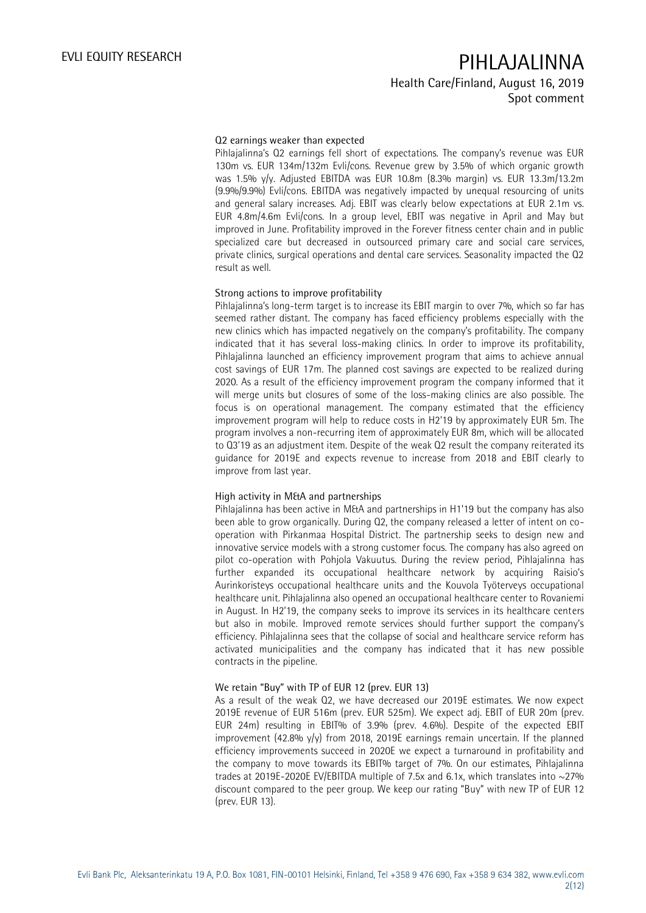## EVLI EQUITY RESEARCH PIHLAJALINNA Health Care/Finland, August 16, 2019 Spot comment

#### Q2 earnings weaker than expected

Pihlajalinna's Q2 earnings fell short of expectations. The company's revenue was EUR 130m vs. EUR 134m/132m Evli/cons. Revenue grew by 3.5% of which organic growth was 1.5% y/y. Adjusted EBITDA was EUR 10.8m (8.3% margin) vs. EUR 13.3m/13.2m (9.9%/9.9%) Evli/cons. EBITDA was negatively impacted by unequal resourcing of units and general salary increases. Adj. EBIT was clearly below expectations at EUR 2.1m vs. EUR 4.8m/4.6m Evli/cons. In a group level, EBIT was negative in April and May but improved in June. Profitability improved in the Forever fitness center chain and in public specialized care but decreased in outsourced primary care and social care services, private clinics, surgical operations and dental care services. Seasonality impacted the Q2 result as well.

### Strong actions to improve profitability

Pihlajalinna's long-term target is to increase its EBIT margin to over 7%, which so far has seemed rather distant. The company has faced efficiency problems especially with the new clinics which has impacted negatively on the company's profitability. The company indicated that it has several loss-making clinics. In order to improve its profitability, Pihlajalinna launched an efficiency improvement program that aims to achieve annual cost savings of EUR 17m. The planned cost savings are expected to be realized during 2020. As a result of the efficiency improvement program the company informed that it will merge units but closures of some of the loss-making clinics are also possible. The focus is on operational management. The company estimated that the efficiency improvement program will help to reduce costs in H2'19 by approximately EUR 5m. The program involves a non-recurring item of approximately EUR 8m, which will be allocated to Q3'19 as an adjustment item. Despite of the weak Q2 result the company reiterated its guidance for 2019E and expects revenue to increase from 2018 and EBIT clearly to improve from last year.

#### High activity in M&A and partnerships

Pihlajalinna has been active in M&A and partnerships in H1'19 but the company has also been able to grow organically. During Q2, the company released a letter of intent on cooperation with Pirkanmaa Hospital District. The partnership seeks to design new and innovative service models with a strong customer focus. The company has also agreed on pilot co-operation with Pohjola Vakuutus. During the review period, Pihlajalinna has further expanded its occupational healthcare network by acquiring Raisio's Aurinkoristeys occupational healthcare units and the Kouvola Työterveys occupational healthcare unit. Pihlajalinna also opened an occupational healthcare center to Rovaniemi in August. In H2'19, the company seeks to improve its services in its healthcare centers but also in mobile. Improved remote services should further support the company's efficiency. Pihlajalinna sees that the collapse of social and healthcare service reform has activated municipalities and the company has indicated that it has new possible contracts in the pipeline.

#### We retain "Buy" with TP of EUR 12 (prev. EUR 13)

As a result of the weak Q2, we have decreased our 2019E estimates. We now expect 2019E revenue of EUR 516m (prev. EUR 525m). We expect adj. EBIT of EUR 20m (prev. EUR 24m) resulting in EBIT% of 3.9% (prev. 4.6%). Despite of the expected EBIT improvement (42.8% y/y) from 2018, 2019E earnings remain uncertain. If the planned efficiency improvements succeed in 2020E we expect a turnaround in profitability and the company to move towards its EBIT% target of 7%. On our estimates, Pihlajalinna trades at 2019E-2020E EV/EBITDA multiple of 7.5x and 6.1x, which translates into  $\sim$ 27% discount compared to the peer group. We keep our rating "Buy" with new TP of EUR 12 (prev. EUR 13).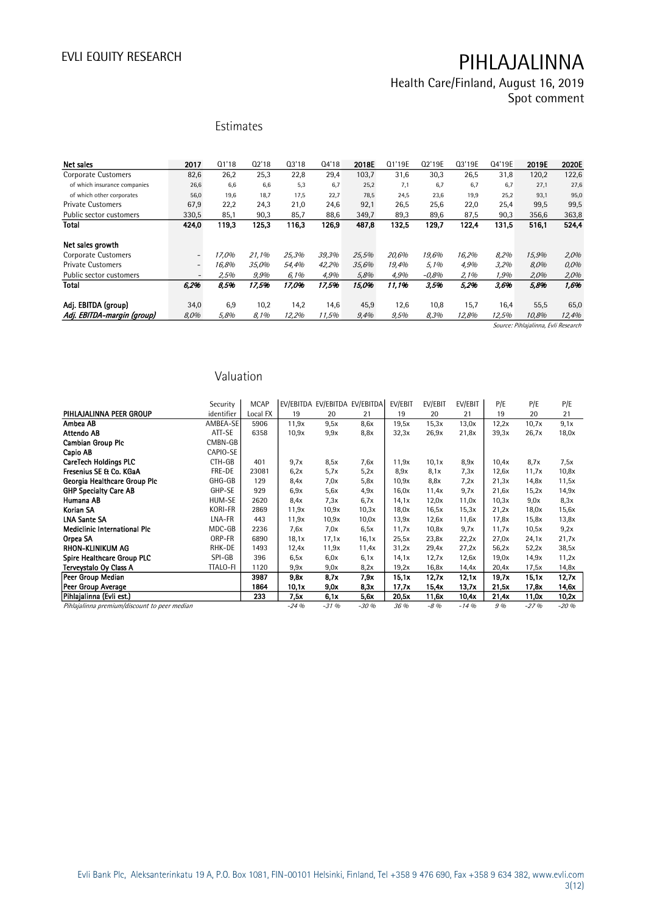Health Care/Finland, August 16, 2019 Spot comment

Estimates

| <b>Net sales</b>             | 2017                     | Q1'18 | 02'18 | Q3'18 | 04'18 | 2018E | Q1'19E | Q2'19E  | Q3'19E | Q4'19E | 2019E                               | 2020E |
|------------------------------|--------------------------|-------|-------|-------|-------|-------|--------|---------|--------|--------|-------------------------------------|-------|
| <b>Corporate Customers</b>   | 82,6                     | 26,2  | 25,3  | 22,8  | 29,4  | 103,7 | 31,6   | 30,3    | 26,5   | 31,8   | 120,2                               | 122,6 |
| of which insurance companies | 26,6                     | 6,6   | 6,6   | 5,3   | 6.7   | 25,2  | 7.1    | 6,7     | 6.7    | 6.7    | 27,1                                | 27,6  |
| of which other corporates    | 56,0                     | 19,6  | 18.7  | 17,5  | 22,7  | 78,5  | 24,5   | 23,6    | 19,9   | 25,2   | 93.1                                | 95,0  |
| <b>Private Customers</b>     | 67,9                     | 22,2  | 24,3  | 21,0  | 24.6  | 92,1  | 26.5   | 25,6    | 22,0   | 25,4   | 99,5                                | 99,5  |
| Public sector customers      | 330,5                    | 85,1  | 90,3  | 85,7  | 88,6  | 349,7 | 89,3   | 89,6    | 87,5   | 90,3   | 356,6                               | 363,8 |
| <b>Total</b>                 | 424,0                    | 119,3 | 125,3 | 116,3 | 126.9 | 487,8 | 132,5  | 129,7   | 122,4  | 131,5  | 516,1                               | 524,4 |
| Net sales growth             |                          |       |       |       |       |       |        |         |        |        |                                     |       |
| <b>Corporate Customers</b>   | $\qquad \qquad -$        | 17.0% | 21,1% | 25,3% | 39,3% | 25,5% | 20.6%  | 19,6%   | 16,2%  | 8,2%   | 15,9%                               | 2,0%  |
| <b>Private Customers</b>     | $\overline{\phantom{a}}$ | 16.8% | 35,0% | 54,4% | 42,2% | 35,6% | 19,4%  | 5.1%    | 4,9%   | 3,2%   | 8,0%                                | 0,0%  |
| Public sector customers      | $\overline{\phantom{a}}$ | 2,5%  | 9,9%  | 6,1%  | 4,9%  | 5,8%  | 4,9%   | $-0.8%$ | 2,1%   | 1,9%   | 2,0%                                | 2,0%  |
| <b>Total</b>                 | 6,2%                     | 8,5%  | 17,5% | 17,0% | 17,5% | 15,0% | 11,1%  | 3,5%    | 5,2%   | 3,6%   | 5,8%                                | 1,6%  |
| Adi. EBITDA (group)          | 34,0                     | 6,9   | 10,2  | 14,2  | 14,6  | 45,9  | 12,6   | 10,8    | 15,7   | 16,4   | 55,5                                | 65,0  |
| Adj. EBITDA-margin (group)   | 8,0%                     | 5,8%  | 8,1%  | 12,2% | 11,5% | 9,4%  | 9,5%   | 8,3%    | 12,8%  | 12,5%  | 10,8%                               | 12,4% |
|                              |                          |       |       |       |       |       |        |         |        |        | Source: Pihlajalinna, Evli Research |       |

Valuation

|                                              | Security        | <b>MCAP</b> |        | EV/EBITDA EV/EBITDA EV/EBITDA |        | EV/EBIT | EV/EBIT | EV/EBIT | P/E   | P/E    | P/E    |
|----------------------------------------------|-----------------|-------------|--------|-------------------------------|--------|---------|---------|---------|-------|--------|--------|
| PIHLAJALINNA PEER GROUP                      | identifier      | Local FX    | 19     | 20                            | 21     | 19      | 20      | 21      | 19    | 20     | 21     |
| Ambea AB                                     | AMBEA-SE        | 5906        | 11,9x  | 9,5x                          | 8,6x   | 19,5x   | 15,3x   | 13,0x   | 12,2x | 10,7x  | 9,1x   |
| Attendo AB                                   | ATT-SE          | 6358        | 10,9x  | 9.9x                          | 8,8x   | 32,3x   | 26,9x   | 21,8x   | 39,3x | 26,7x  | 18,0x  |
| <b>Cambian Group Plc</b>                     | CMBN-GB         |             |        |                               |        |         |         |         |       |        |        |
| Capio AB                                     | CAPIO-SE        |             |        |                               |        |         |         |         |       |        |        |
| <b>CareTech Holdings PLC</b>                 | CTH-GB          | 401         | 9.7x   | 8,5x                          | 7.6x   | 11,9x   | 10,1x   | 8.9x    | 10,4x | 8,7x   | 7,5x   |
| Fresenius SE & Co. KGaA                      | FRE-DE          | 23081       | 6.2x   | 5,7x                          | 5.2x   | 8.9x    | 8,1x    | 7,3x    | 12,6x | 11,7x  | 10,8x  |
| Georgia Healthcare Group Plc                 | GHG-GB          | 129         | 8.4x   | 7.0x                          | 5,8x   | 10,9x   | 8,8x    | 7.2x    | 21,3x | 14,8x  | 11,5x  |
| <b>GHP Specialty Care AB</b>                 | GHP-SE          | 929         | 6.9x   | 5,6x                          | 4.9x   | 16,0x   | 11,4x   | 9.7x    | 21,6x | 15,2x  | 14,9x  |
| Humana AB                                    | HUM-SE          | 2620        | 8,4x   | 7,3x                          | 6,7x   | 14,1x   | 12,0x   | 11,0x   | 10,3x | 9,0x   | 8,3x   |
| Korian SA                                    | KORI-FR         | 2869        | 11,9x  | 10.9x                         | 10,3x  | 18,0x   | 16,5x   | 15,3x   | 21,2x | 18,0x  | 15,6x  |
| <b>LNA Sante SA</b>                          | LNA-FR          | 443         | 11,9x  | 10.9x                         | 10,0x  | 13,9x   | 12,6x   | 11,6x   | 17,8x | 15,8x  | 13,8x  |
| <b>Mediclinic International Plc</b>          | MDC-GB          | 2236        | 7.6x   | 7,0x                          | 6,5x   | 11,7x   | 10,8x   | 9.7x    | 11,7x | 10,5x  | 9,2x   |
| Orpea SA                                     | ORP-FR          | 6890        | 18,1x  | 17,1x                         | 16,1x  | 25,5x   | 23,8x   | 22,2x   | 27,0x | 24.1x  | 21,7x  |
| <b>RHON-KLINIKUM AG</b>                      | RHK-DE          | 1493        | 12,4x  | 11,9x                         | 11,4x  | 31,2x   | 29,4x   | 27,2x   | 56,2x | 52,2x  | 38,5x  |
| <b>Spire Healthcare Group PLC</b>            | SPI-GB          | 396         | 6,5x   | 6,0x                          | 6.1x   | 14,1x   | 12,7x   | 12,6x   | 19,0x | 14.9x  | 11,2x  |
| Terveystalo Oy Class A                       | <b>TTALO-FI</b> | 1120        | 9,9x   | 9,0x                          | 8.2x   | 19,2x   | 16,8x   | 14,4x   | 20,4x | 17,5x  | 14,8x  |
| Peer Group Median                            |                 | 3987        | 9,8x   | 8,7x                          | 7,9x   | 15,1x   | 12.7x   | 12.1x   | 19,7x | 15.1x  | 12,7x  |
| Peer Group Average                           |                 | 1864        | 10,1x  | 9,0x                          | 8,3x   | 17.7x   | 15,4x   | 13,7x   | 21,5x | 17,8x  | 14,6x  |
| Pihlajalinna (Evli est.)                     |                 | 233         | 7.5x   | 6.1x                          | 5,6x   | 20,5x   | 11,6x   | 10,4x   | 21.4x | 11.0x  | 10,2x  |
| Pihlajalinna premium/discount to peer median |                 |             | $-24%$ | $-31%$                        | $-30%$ | 36 %    | $-8\%$  | $-14%$  | 9%    | $-27%$ | $-20%$ |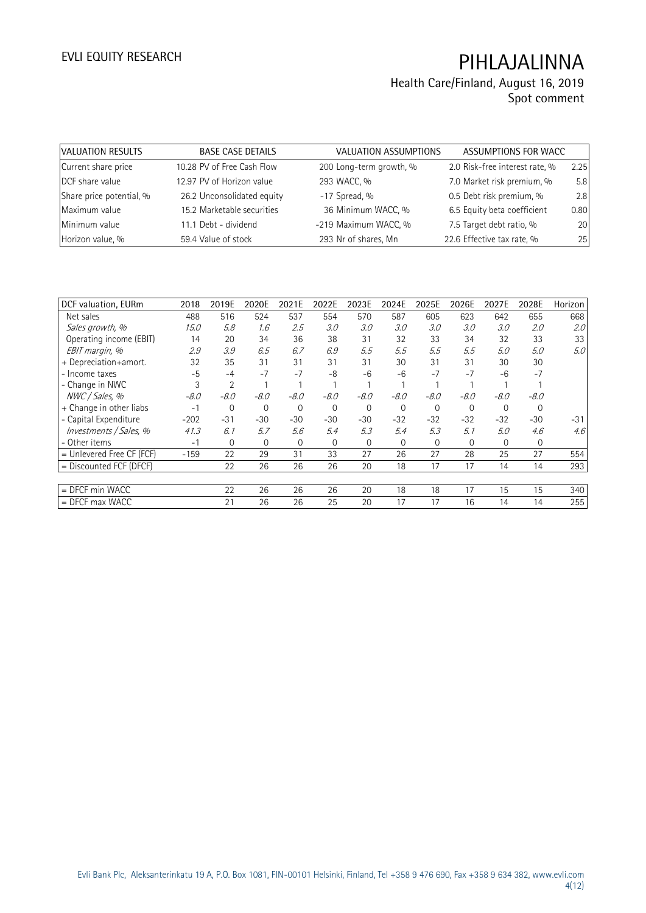## Health Care/Finland, August 16, 2019 Spot comment

| VALUATION RESULTS        | <b>BASE CASE DETAILS</b>   | <b>VALUATION ASSUMPTIONS</b> | ASSUMPTIONS FOR WACC           |      |
|--------------------------|----------------------------|------------------------------|--------------------------------|------|
| Current share price      | 10.28 PV of Free Cash Flow | 200 Long-term growth, %      | 2.0 Risk-free interest rate, % | 2.25 |
| DCF share value          | 12.97 PV of Horizon value  | 293 WACC, %                  | 7.0 Market risk premium, %     | 5.8  |
| Share price potential, % | 26.2 Unconsolidated equity | $-17$ Spread, %              | 0.5 Debt risk premium, %       | 2.8  |
| Maximum value            | 15.2 Marketable securities | 36 Minimum WACC, %           | 6.5 Equity beta coefficient    | 0.80 |
| Minimum value            | 11.1 Debt - dividend       | -219 Maximum WACC, %         | 7.5 Target debt ratio, %       | 20   |
| Horizon value, %         | 59.4 Value of stock        | 293 Nr of shares, Mn         | 22.6 Effective tax rate, %     | 25   |

| DCF valuation, EURm         | 2018   | 2019E          | 2020E        | 2021E  | 2022E    | 2023E    | 2024E        | 2025E       | 2026E    | 2027E    | 2028E    | Horizon |
|-----------------------------|--------|----------------|--------------|--------|----------|----------|--------------|-------------|----------|----------|----------|---------|
| Net sales                   | 488    | 516            | 524          | 537    | 554      | 570      | 587          | 605         | 623      | 642      | 655      | 668     |
| Sales growth, %             | 15.0   | 5.8            | 1.6          | 2.5    | 3.0      | 3.0      | 3.0          | 3.0         | 3.0      | 3.0      | 2.0      | 2.0     |
| Operating income (EBIT)     | 14     | 20             | 34           | 36     | 38       | 31       | 32           | 33          | 34       | 32       | 33       | 33      |
| EBIT margin, %              | 2.9    | 3.9            | 6.5          | 6.7    | 6.9      | 5.5      | 5.5          | 5.5         | 5.5      | 5.0      | 5.0      | 5.0     |
| + Depreciation+amort.       | 32     | 35             | 31           | 31     | 31       | 31       | 30           | 31          | 31       | 30       | 30       |         |
| - Income taxes              | $-5$   | $-4$           | $-7$         | $-7$   | -8       | $-6$     | $-6$         | $-7$        | $-7$     | $-6$     | $-7$     |         |
| - Change in NWC             | 3      | $\overline{2}$ |              |        |          |          |              |             |          |          |          |         |
| NWC / Sales, %              | $-8.0$ | $-8.0$         | -8.0         | $-8.0$ | $-8.0$   | $-8.0$   | $-8.0$       | $-8.0$      | $-8.0$   | $-8.0$   | $-8.0$   |         |
| + Change in other liabs     | $-1$   | 0              | $\mathbf 0$  | 0      | $\Omega$ | $\Omega$ | $\mathbf{0}$ | $\mathbf 0$ | $\Omega$ | $\Omega$ | $\Omega$ |         |
| - Capital Expenditure       | $-202$ | $-31$          | $-30$        | $-30$  | $-30$    | $-30$    | $-32$        | $-32$       | $-32$    | $-32$    | $-30$    | $-31$   |
| Investments / Sales, %      | 41.3   | 6.1            | 5.7          | 5.6    | 5.4      | 5.3      | 5.4          | 5.3         | 5.1      | 5.0      | 4.6      | 4.6     |
| - Other items               | $-1$   | $\mathbf{0}$   | $\mathbf{0}$ | 0      | $\Omega$ | $\Omega$ | $\mathbf 0$  | $\Omega$    | $\Omega$ | $\Omega$ | 0        |         |
| $=$ Unlevered Free CF (FCF) | $-159$ | 22             | 29           | 31     | 33       | 27       | 26           | 27          | 28       | 25       | 27       | 554     |
| $=$ Discounted FCF (DFCF)   |        | 22             | 26           | 26     | 26       | 20       | 18           | 17          | 17       | 14       | 14       | 293     |
|                             |        |                |              |        |          |          |              |             |          |          |          |         |
| $=$ DFCF min WACC           |        | 22             | 26           | 26     | 26       | 20       | 18           | 18          | 17       | 15       | 15       | 340     |
| $=$ DFCF max WACC           |        | 21             | 26           | 26     | 25       | 20       | 17           | 17          | 16       | 14       | 14       | 255     |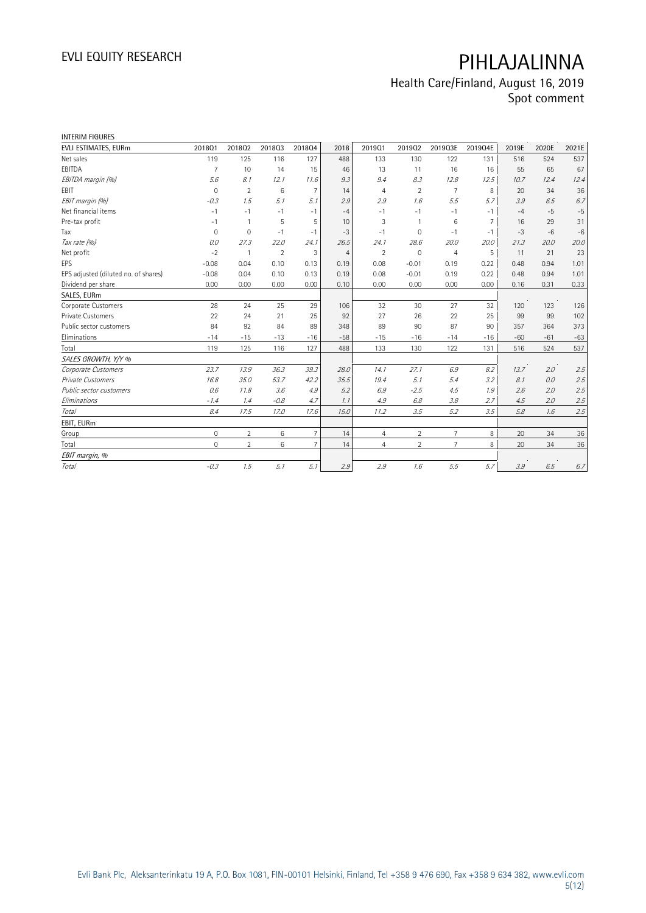# Health Care/Finland, August 16, 2019

Spot comment

| <b>INTERIM FIGURES</b>               |                     |                |                |                 |                |                |                |                |                |       |       |         |
|--------------------------------------|---------------------|----------------|----------------|-----------------|----------------|----------------|----------------|----------------|----------------|-------|-------|---------|
| EVLI ESTIMATES, EURm                 | 201801              | 201802         | 201803         | 201804          | 2018           | 201901         | 201902         | 2019Q3E        | 2019Q4E        | 2019E | 2020E | 2021E   |
| Net sales                            | 119                 | 125            | 116            | 127             | 488            | 133            | 130            | 122            | 131            | 516   | 524   | 537     |
| EBITDA                               | $\overline{7}$      | 10             | 14             | 15              | 46             | 13             | 11             | 16             | 16             | 55    | 65    | 67      |
| EBITDA margin (%)                    | 5.6                 | 8.1            | 12.1           | 11.6            | 9.3            | 9.4            | 8.3            | 12.8           | 12.5           | 10.7  | 12.4  | 12.4    |
| EBIT                                 | $\mathbf{0}$        | $\overline{2}$ | 6              | $\overline{7}$  | 14             | $\overline{4}$ | $\overline{2}$ | 7              | 8              | 20    | 34    | 36      |
| EBIT margin (%)                      | $-0.3$              | 1.5            | 5.1            | 5.1             | 2.9            | 2.9            | 1.6            | 5.5            | 5.7            | 3.9   | 6.5   | 6.7     |
| Net financial items                  | $-1$                | $-1$           | $-1$           | $-1$            | $-4$           | $-1$           | $-1$           | $-1$           | $-1$           | $-4$  | $-5$  | $-5$    |
| Pre-tax profit                       | $-1$                | $\mathbf{1}$   | 5              | 5               | 10             | 3              | $\mathbf{1}$   | 6              | $\overline{7}$ | 16    | 29    | 31      |
| Tax                                  | $\mathbf{0}$        | $\overline{0}$ | $-1$           | $-1$            | $-3$           | $-1$           | $\Omega$       | $-1$           | $-1$           | $-3$  | $-6$  | $-6$    |
| Tax rate (%)                         | 0.0                 | 27.3           | 22.0           | 24.1            | 26.5           | 24.1           | 28.6           | 20.0           | 20.0           | 21.3  | 20.0  | 20.0    |
| Net profit                           | $-2$                | $\mathbf{1}$   | $\overline{2}$ | 3               | $\overline{4}$ | $\overline{2}$ | $\mathbf 0$    | $\overline{4}$ | 5              | 11    | 21    | 23      |
| EPS                                  | $-0.08$             | 0.04           | 0.10           | 0.13            | 0.19           | 0.08           | $-0.01$        | 0.19           | 0.22           | 0.48  | 0.94  | 1.01    |
| EPS adjusted (diluted no. of shares) | $-0.08$             | 0.04           | 0.10           | 0.13            | 0.19           | 0.08           | $-0.01$        | 0.19           | 0.22           | 0.48  | 0.94  | 1.01    |
| Dividend per share                   | 0.00                | 0.00           | 0.00           | 0.00            | 0.10           | 0.00           | 0.00           | 0.00           | 0.00           | 0.16  | 0.31  | 0.33    |
| SALES, EURm                          |                     |                |                |                 |                |                |                |                |                |       |       |         |
| Corporate Customers                  | 28                  | 24             | 25             | 29              | 106            | 32             | 30             | 27             | 32             | 120   | 123   | 126     |
| <b>Private Customers</b>             | 22                  | 24             | 21             | 25              | 92             | 27             | 26             | 22             | 25             | 99    | 99    | 102     |
| Public sector customers              | 84                  | 92             | 84             | 89              | 348            | 89             | 90             | 87             | 90             | 357   | 364   | 373     |
| Eliminations                         | $-14$               | $-15$          | $-13$          | $-16$           | $-58$          | $-15$          | $-16$          | $-14$          | $-16$          | $-60$ | $-61$ | $-63$   |
| Total                                | 119                 | 125            | 116            | 127             | 488            | 133            | 130            | 122            | 131            | 516   | 524   | 537     |
| SALES GROWTH, Y/Y %                  |                     |                |                |                 |                |                |                |                |                |       |       |         |
| Corporate Customers                  | 23.7                | 13.9           | 36.3           | 39.3            | 28.0           | 14.1           | 27.1           | 6.9            | 8.2            | 13.7  | 2.0   | 2.5     |
| <b>Private Customers</b>             | 16.8                | 35.0           | 53.7           | 42.2            | 35.5           | 19.4           | 5.1            | 5.4            | 3.2            | 8.1   | 0.0   | 2.5     |
| Public sector customers              | 0.6                 | 11.8           | 3.6            | 4.9             | 5.2            | 6.9            | $-2.5$         | 4.5            | 1.9            | 2.6   | 2.0   | 2.5     |
| Eliminations                         | $-1.4$              | 1.4            | $-0.8$         | 4.7             | 1.1            | 4.9            | 6.8            | 3.8            | 2.7            | 4.5   | 2.0   | 2.5     |
| Total                                | 8.4                 | 17.5           | 17.0           | 17.6            | 15.0           | 11.2           | 3.5            | 5.2            | 3.5            | 5.8   | 1.6   | 2.5     |
| EBIT, EURm                           |                     |                |                |                 |                |                |                |                |                |       |       |         |
| Group                                | $\mathsf{O}\xspace$ | $\overline{2}$ | $\,6$          | $7\overline{ }$ | 14             | $\overline{4}$ | $\overline{2}$ | $\overline{7}$ | 8              | 20    | 34    | 36      |
| Total                                | $\circ$             | $\overline{2}$ | 6              | $\overline{7}$  | 14             | $\overline{4}$ | $\overline{2}$ | $\overline{7}$ | 8              | 20    | 34    | 36      |
| EBIT margin, %                       |                     |                |                |                 |                |                |                |                |                |       |       |         |
| Total                                | $-0.3$              | 1.5            | 5.1            | 5.1             | 2.9            | 2.9            | 1.6            | 5.5            | 5.7            | 3.9   | 6.5   | $6.7\,$ |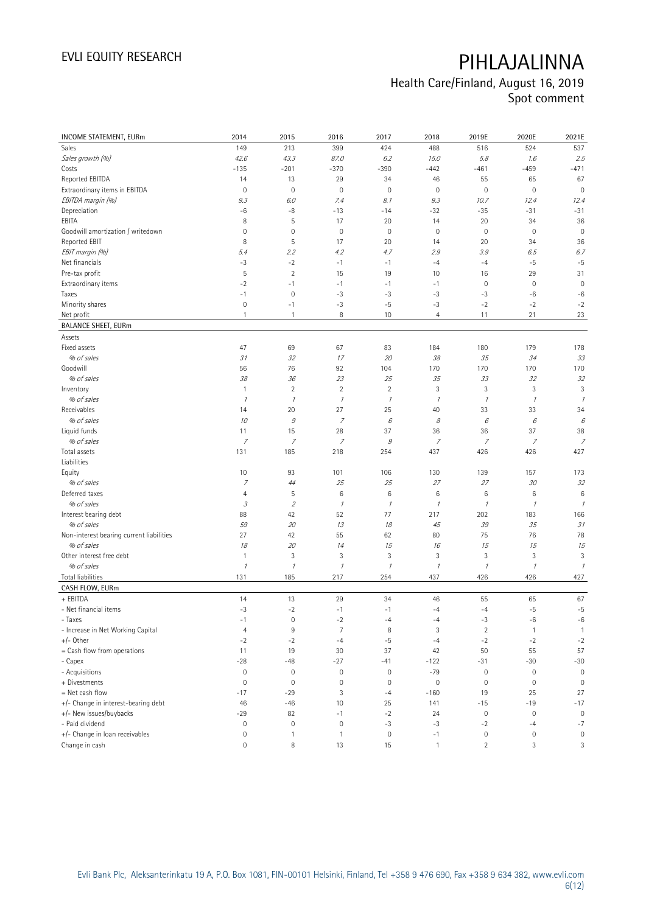# Health Care/Finland, August 16, 2019

Spot comment

| INCOME STATEMENT, EURm                   | 2014                                                                                                                                                                                                                                                                                                                                                                                                                                                      | 2015                | 2016                | 2017                | 2018           | 2019E               | 2020E            | 2021E                    |
|------------------------------------------|-----------------------------------------------------------------------------------------------------------------------------------------------------------------------------------------------------------------------------------------------------------------------------------------------------------------------------------------------------------------------------------------------------------------------------------------------------------|---------------------|---------------------|---------------------|----------------|---------------------|------------------|--------------------------|
| <b>Sales</b>                             | 149                                                                                                                                                                                                                                                                                                                                                                                                                                                       | 213                 | 399                 | 424                 | 488            | 516                 | 524              | 537                      |
| Sales growth (%)                         | 42.6                                                                                                                                                                                                                                                                                                                                                                                                                                                      | 43.3                | 87.0                | 6.2                 | 15.0           | 5.8                 | 1.6              | 2.5                      |
| Costs                                    | $-135$                                                                                                                                                                                                                                                                                                                                                                                                                                                    | $-201$              | $-370$              | $-390$              | $-442$         | $-461$              | $-459$           | $-471$                   |
| Reported EBITDA                          | 14                                                                                                                                                                                                                                                                                                                                                                                                                                                        | 13                  | 29                  | 34                  | 46             | 55                  | 65               | 67                       |
| Extraordinary items in EBITDA            | 0                                                                                                                                                                                                                                                                                                                                                                                                                                                         | $\mathbf 0$         | $\mathbf 0$         | $\mathsf{O}\xspace$ | $\mathbf 0$    | $\mathbb O$         | $\mathbb O$      | $\mathbf 0$              |
| EBITDA margin (%)                        | 9.3                                                                                                                                                                                                                                                                                                                                                                                                                                                       | 6.0                 | 7.4                 | 8.1                 | 9.3            | 10.7                | 12.4             | 12.4                     |
| Depreciation                             | -6                                                                                                                                                                                                                                                                                                                                                                                                                                                        | -8                  | $-13$               | $-14$               | $-32$          | $-35$               | $-31$            | $-31$                    |
| EBITA                                    | 8                                                                                                                                                                                                                                                                                                                                                                                                                                                         | 5                   | 17                  | 20                  | 14             | 20                  | 34               | 36                       |
| Goodwill amortization / writedown        | 0                                                                                                                                                                                                                                                                                                                                                                                                                                                         | $\mathbf 0$         | $\mathbb O$         | $\mathbf 0$         | $\mathbf 0$    | $\mathsf{O}\xspace$ | $\mathbf 0$      | $\mathbf 0$              |
| Reported EBIT                            | 8                                                                                                                                                                                                                                                                                                                                                                                                                                                         | 5                   | 17                  | 20                  | 14             | 20                  | 34               | 36                       |
| EBIT margin (%)                          | 5.4                                                                                                                                                                                                                                                                                                                                                                                                                                                       | 2.2                 | 4.2                 | 4.7                 | 2.9            | 3.9                 | 6.5              | 6.7                      |
| Net financials                           | $-3$                                                                                                                                                                                                                                                                                                                                                                                                                                                      | $-2$                | $-1$                | $-1$                | $-4$           | $-4$                | $-5$             | $-5$                     |
| Pre-tax profit                           | 5                                                                                                                                                                                                                                                                                                                                                                                                                                                         | $\sqrt{2}$          | 15                  | 19                  | 10             | 16                  | 29               | 31                       |
| Extraordinary items                      | $-2$                                                                                                                                                                                                                                                                                                                                                                                                                                                      | $-1$                | $-1$                | $-1$                | $-1$           | $\mathbb O$         | $\mathbf 0$      | $\mathbf 0$              |
| Taxes                                    | $-1$                                                                                                                                                                                                                                                                                                                                                                                                                                                      | $\mathbf 0$         | $-3$                | $-3$                | $-3$           | $-3$                | $-6$             | $-6$                     |
| Minority shares                          | 0                                                                                                                                                                                                                                                                                                                                                                                                                                                         | $-1$                | $-3$                | $-5$                | $-3$           | $-2$                | $-2$             | $-2$                     |
| Net profit                               | $\mathbf{1}$                                                                                                                                                                                                                                                                                                                                                                                                                                              | $\overline{1}$      | 8                   | 10                  | $\overline{4}$ | 11                  | 21               | 23                       |
| <b>BALANCE SHEET, EURm</b>               |                                                                                                                                                                                                                                                                                                                                                                                                                                                           |                     |                     |                     |                |                     |                  |                          |
| Assets                                   |                                                                                                                                                                                                                                                                                                                                                                                                                                                           |                     |                     |                     |                |                     |                  |                          |
| Fixed assets                             | 47                                                                                                                                                                                                                                                                                                                                                                                                                                                        | 69                  | 67                  | 83                  | 184            | 180                 | 179              | 178                      |
| % of sales                               | 31                                                                                                                                                                                                                                                                                                                                                                                                                                                        | 32                  | 17                  | 20                  | 38             | 35                  | 34               | 33                       |
| Goodwill                                 | 56                                                                                                                                                                                                                                                                                                                                                                                                                                                        | 76                  | 92                  | 104                 | 170            | 170                 | 170              | 170                      |
| % of sales                               | 38                                                                                                                                                                                                                                                                                                                                                                                                                                                        | 36                  | 23                  | 25                  | 35             | 33                  | 32               | 32                       |
| Inventory                                | $\mathbf{1}$                                                                                                                                                                                                                                                                                                                                                                                                                                              | $\sqrt{2}$          | $\sqrt{2}$          | $\sqrt{2}$          | $\sqrt{3}$     | 3                   | $\sqrt{3}$       | 3                        |
| % of sales                               | $\mathcal I$                                                                                                                                                                                                                                                                                                                                                                                                                                              | $\mathcal{I}$       | $\mathcal I$        | $\mathcal I$        | $\mathcal{I}$  | $\mathcal I$        | $\mathcal I$     | $\overline{\phantom{a}}$ |
| Receivables                              | 14                                                                                                                                                                                                                                                                                                                                                                                                                                                        | 20                  | 27                  | 25                  | 40             | 33                  | 33               | 34                       |
| % of sales                               | 10                                                                                                                                                                                                                                                                                                                                                                                                                                                        | $\mathcal G$        | $\boldsymbol{7}$    | 6                   | 8              | $\epsilon$          | 6                | 6                        |
| Liquid funds                             | 11                                                                                                                                                                                                                                                                                                                                                                                                                                                        | 15                  | 28                  | 37                  | 36             | 36                  | 37               | 38                       |
| % of sales                               | $\boldsymbol{7}$                                                                                                                                                                                                                                                                                                                                                                                                                                          | $\overline{z}$      | $\boldsymbol{7}$    | $\mathcal G$        | $\overline{z}$ | $\boldsymbol{7}$    | $\boldsymbol{7}$ | $\overline{z}$           |
| Total assets                             | 131                                                                                                                                                                                                                                                                                                                                                                                                                                                       | 185                 | 218                 | 254                 | 437            | 426                 | 426              | 427                      |
| Liabilities                              |                                                                                                                                                                                                                                                                                                                                                                                                                                                           |                     |                     |                     |                |                     |                  |                          |
| Equity                                   | 10                                                                                                                                                                                                                                                                                                                                                                                                                                                        | 93                  | 101                 | 106                 | 130            | 139                 | 157              | 173                      |
| % of sales                               | $\overline{z}$                                                                                                                                                                                                                                                                                                                                                                                                                                            | 44                  | 25                  | 25                  | 27             | 27                  | 30               | 32                       |
| Deferred taxes                           | 4                                                                                                                                                                                                                                                                                                                                                                                                                                                         | 5                   | $\,6$               | 6                   | 6              | 6                   | 6                | $6\phantom{1}6$          |
| % of sales                               | $\mathcal{I}% _{G}=\mathcal{I}_{G}=\mathcal{I}_{G}=\mathcal{I}_{G}=\mathcal{I}_{G}=\mathcal{I}_{G}=\mathcal{I}_{G}=\mathcal{I}_{G}=\mathcal{I}_{G}=\mathcal{I}_{G}=\mathcal{I}_{G}=\mathcal{I}_{G}=\mathcal{I}_{G}=\mathcal{I}_{G}=\mathcal{I}_{G}=\mathcal{I}_{G}=\mathcal{I}_{G}=\mathcal{I}_{G}=\mathcal{I}_{G}=\mathcal{I}_{G}=\mathcal{I}_{G}=\mathcal{I}_{G}=\mathcal{I}_{G}=\mathcal{I}_{G}=\mathcal{I}_{G}=\mathcal{I}_{G}=\mathcal{I}_{G}=\math$ | $\overline{2}$      | $\mathcal I$        | $\mathcal I$        | $\mathcal{I}$  | $\mathcal I$        | $\mathcal I$     | $\mathcal I$             |
| Interest bearing debt                    | 88                                                                                                                                                                                                                                                                                                                                                                                                                                                        | 42                  | 52                  | 77                  | 217            | 202                 | 183              | 166                      |
| % of sales                               | 59                                                                                                                                                                                                                                                                                                                                                                                                                                                        | 20                  | 13                  | 18                  | 45             | 39                  | 35               | 31                       |
| Non-interest bearing current liabilities | 27                                                                                                                                                                                                                                                                                                                                                                                                                                                        | 42                  | 55                  | 62                  | 80             | 75                  | 76               | 78                       |
| % of sales                               | 18                                                                                                                                                                                                                                                                                                                                                                                                                                                        | 20                  | 14                  | 15                  | 16             | 15                  | 15               | 15                       |
| Other interest free debt                 | $\mathbf{1}$                                                                                                                                                                                                                                                                                                                                                                                                                                              | $\sqrt{3}$          | 3                   | 3                   | $\sqrt{3}$     | 3                   | $\sqrt{3}$       | 3                        |
| % of sales                               | $\it 1$                                                                                                                                                                                                                                                                                                                                                                                                                                                   | $\mathcal{I}$       | $\mathcal{I}$       | $\cal I$            | $\mathcal I$   | $\mathcal I$        | $\mathcal{I}$    | $\mathcal{I}$            |
| Total liabilities                        | 131                                                                                                                                                                                                                                                                                                                                                                                                                                                       | 185                 | 217                 | 254                 | 437            | 426                 | 426              | 427                      |
| CASH FLOW, EURm                          |                                                                                                                                                                                                                                                                                                                                                                                                                                                           |                     |                     |                     |                |                     |                  |                          |
| + EBITDA                                 | 14                                                                                                                                                                                                                                                                                                                                                                                                                                                        | 13                  | 29                  | 34                  | 46             | 55                  | 65               | 67                       |
| - Net financial items                    | $-3$                                                                                                                                                                                                                                                                                                                                                                                                                                                      | $-2$                | $-1$                | $-1$                | $-4$           | $-4$                | $-5$             | $-5$                     |
| - Taxes                                  | -1                                                                                                                                                                                                                                                                                                                                                                                                                                                        | $\mathsf{O}\xspace$ | $^{\rm -2}$         | $-4$                | -4             | -3                  | -6               | -6                       |
| - Increase in Net Working Capital        | $\overline{4}$                                                                                                                                                                                                                                                                                                                                                                                                                                            | $9\,$               | $\overline{7}$      | 8                   | 3              | $\overline{2}$      | $\mathbf{1}$     | $\mathbf{1}$             |
| $+/-$ Other                              | $-2$                                                                                                                                                                                                                                                                                                                                                                                                                                                      | $-2$                | $-4$                | $-5$                | $-4$           | $-2$                | $-2$             | $-2$                     |
| = Cash flow from operations              | 11                                                                                                                                                                                                                                                                                                                                                                                                                                                        | 19                  | 30                  | 37                  | 42             | 50                  | 55               | 57                       |
| - Capex                                  | $-28$                                                                                                                                                                                                                                                                                                                                                                                                                                                     | $-48$               | $-27$               | $-41$               | $-122$         | $-31$               | $-30$            | $-30$                    |
| - Acquisitions                           | $\mathsf{O}\xspace$                                                                                                                                                                                                                                                                                                                                                                                                                                       | $\mathbb O$         | $\mathsf{O}\xspace$ | $\mathsf{O}\xspace$ | $-79$          | $\mathsf{O}\xspace$ | $\mathbb O$      | $\mathsf{O}\xspace$      |
| + Divestments                            | 0                                                                                                                                                                                                                                                                                                                                                                                                                                                         | $\mathbb O$         | $\mathbb O$         | $\mathsf{O}\xspace$ | $\mathbb O$    | $\mathsf{O}\xspace$ | $\boldsymbol{0}$ | $\mathbf 0$              |
| = Net cash flow                          | $-17$                                                                                                                                                                                                                                                                                                                                                                                                                                                     | $-29$               | 3                   | $-4$                | $-160$         | 19                  | 25               | 27                       |
| +/- Change in interest-bearing debt      | 46                                                                                                                                                                                                                                                                                                                                                                                                                                                        | $-46$               | 10                  | 25                  | 141            | $-15$               | $-19$            | $-17$                    |
| +/- New issues/buybacks                  | $-29$                                                                                                                                                                                                                                                                                                                                                                                                                                                     | 82                  | $-1$                | $-2$                | 24             | $\mathsf{O}\xspace$ | $\mathbf 0$      | $\mathbb O$              |
| - Paid dividend                          | 0                                                                                                                                                                                                                                                                                                                                                                                                                                                         | $\mathbf 0$         | $\mathbb O$         | $-3$                | $-3$           | $-2$                | $-4$             | $-7$                     |
| +/- Change in loan receivables           | 0                                                                                                                                                                                                                                                                                                                                                                                                                                                         | $\mathbf{1}$        | $\mathbf{1}$        | $\mathsf{O}\xspace$ | $-1$           | $\mathbb O$         | 0                | $\mathbb O$              |
| Change in cash                           | $\mathsf{O}\xspace$                                                                                                                                                                                                                                                                                                                                                                                                                                       | $\, 8$              | 13                  | 15                  | $\mathbf{1}$   | $\sqrt{2}$          | 3                | 3                        |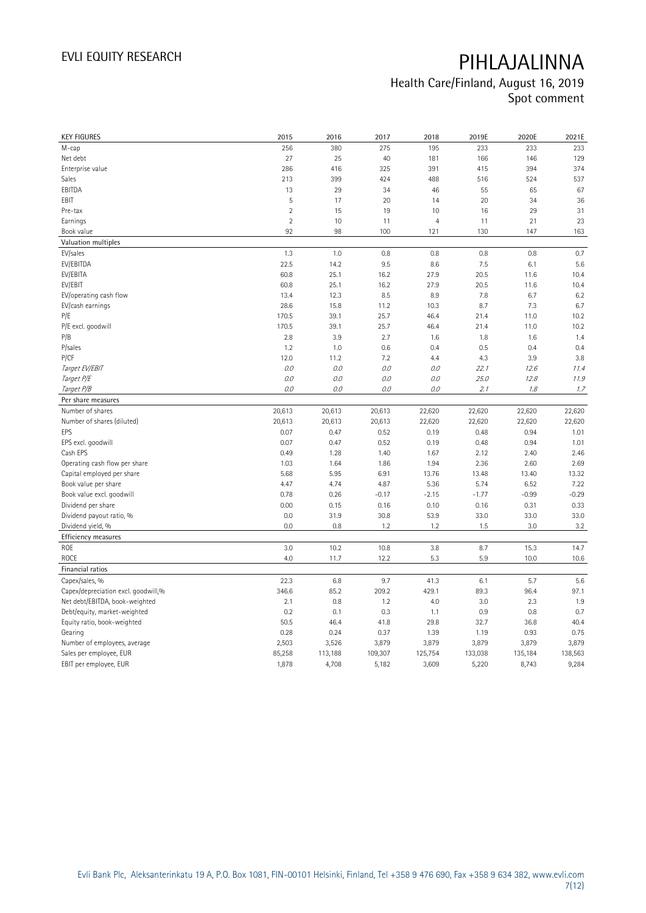## Health Care/Finland, August 16, 2019 Spot comment

| <b>KEY FIGURES</b>                  | 2015           | 2016    | 2017    | 2018           | 2019E   | 2020E   | 2021E   |
|-------------------------------------|----------------|---------|---------|----------------|---------|---------|---------|
| M-cap                               | 256            | 380     | 275     | 195            | 233     | 233     | 233     |
| Net debt                            | 27             | 25      | 40      | 181            | 166     | 146     | 129     |
| Enterprise value                    | 286            | 416     | 325     | 391            | 415     | 394     | 374     |
| Sales                               | 213            | 399     | 424     | 488            | 516     | 524     | 537     |
| EBITDA                              | 13             | 29      | 34      | 46             | 55      | 65      | 67      |
| EBIT                                | 5              | 17      | 20      | 14             | 20      | 34      | 36      |
| Pre-tax                             | $\overline{2}$ | 15      | 19      | 10             | 16      | 29      | 31      |
| Earnings                            | $\overline{2}$ | 10      | 11      | $\overline{4}$ | 11      | 21      | 23      |
| Book value                          | 92             | 98      | 100     | 121            | 130     | 147     | 163     |
| Valuation multiples                 |                |         |         |                |         |         |         |
| EV/sales                            | 1.3            | 1.0     | 0.8     | 0.8            | 0.8     | 0.8     | 0.7     |
| EV/EBITDA                           | 22.5           | 14.2    | 9.5     | 8.6            | 7.5     | 6.1     | 5.6     |
| EV/EBITA                            | 60.8           | 25.1    | 16.2    | 27.9           | 20.5    | 11.6    | 10.4    |
| EV/EBIT                             | 60.8           | 25.1    | 16.2    | 27.9           | 20.5    | 11.6    | 10.4    |
| EV/operating cash flow              | 13.4           | 12.3    | 8.5     | 8.9            | 7.8     | 6.7     | 6.2     |
| EV/cash earnings                    | 28.6           | 15.8    | 11.2    | 10.3           | 8.7     | 7.3     | 6.7     |
| P/E                                 | 170.5          | 39.1    | 25.7    | 46.4           | 21.4    | 11.0    | 10.2    |
| P/E excl. goodwill                  | 170.5          | 39.1    | 25.7    | 46.4           | 21.4    | 11.0    | 10.2    |
| P/B                                 | 2.8            | 3.9     | 2.7     | 1.6            | 1.8     | 1.6     | 1.4     |
| P/sales                             | 1.2            | 1.0     | 0.6     | 0.4            | 0.5     | 0.4     | 0.4     |
| P/CF                                | 12.0           | 11.2    | 7.2     | 4.4            | 4.3     | 3.9     | 3.8     |
| Target EV/EBIT                      | 0.0            | 0.0     | $0.0\,$ | O.O            | 22.1    | 12.6    | 11.4    |
| Target P/E                          | 0.0            | 0.0     | 0.0     | 0.0            | 25.0    | 12.8    | 11.9    |
| Target P/B                          | 0.0            | 0.0     | 0.0     | 0.0            | 2.1     | 1.8     | 1.7     |
| Per share measures                  |                |         |         |                |         |         |         |
| Number of shares                    | 20,613         | 20,613  | 20,613  | 22,620         | 22,620  | 22,620  | 22,620  |
| Number of shares (diluted)          | 20,613         | 20,613  | 20,613  | 22,620         | 22,620  | 22,620  | 22,620  |
| EPS                                 | 0.07           | 0.47    | 0.52    | 0.19           | 0.48    | 0.94    | 1.01    |
| EPS excl. goodwill                  | 0.07           | 0.47    | 0.52    | 0.19           | 0.48    | 0.94    | 1.01    |
| Cash EPS                            | 0.49           | 1.28    | 1.40    | 1.67           | 2.12    | 2.40    | 2.46    |
| Operating cash flow per share       | 1.03           | 1.64    | 1.86    | 1.94           | 2.36    | 2.60    | 2.69    |
| Capital employed per share          | 5.68           | 5.95    | 6.91    | 13.76          | 13.48   | 13.40   | 13.32   |
| Book value per share                | 4.47           | 4.74    | 4.87    | 5.36           | 5.74    | 6.52    | 7.22    |
| Book value excl. goodwill           | 0.78           | 0.26    | $-0.17$ | $-2.15$        | $-1.77$ | $-0.99$ | $-0.29$ |
| Dividend per share                  | 0.00           | 0.15    | 0.16    | 0.10           | 0.16    | 0.31    | 0.33    |
| Dividend payout ratio, %            | 0.0            | 31.9    | 30.8    | 53.9           | 33.0    | 33.0    | 33.0    |
| Dividend yield, %                   | 0.0            | 0.8     | 1.2     | 1.2            | 1.5     | 3.0     | 3.2     |
| Efficiency measures                 |                |         |         |                |         |         |         |
| ROE                                 | 3.0            | 10.2    | 10.8    | 3.8            | 8.7     | 15.3    | 14.7    |
| ROCE                                | 4.0            | 11.7    | 12.2    | 5.3            | 5.9     | 10.0    | 10.6    |
| Financial ratios                    |                |         |         |                |         |         |         |
| Capex/sales, %                      | 22.3           | 6.8     | 9.7     | 41.3           | 6.1     | 5.7     | 5.6     |
| Capex/depreciation excl. goodwill,% | 346.6          | 85.2    | 209.2   | 429.1          | 89.3    | 96.4    | 97.1    |
| Net debt/EBITDA, book-weighted      | 2.1            | 0.8     | 1.2     | 4.0            | 3.0     | 2.3     | 1.9     |
| Debt/equity, market-weighted        | 0.2            | 0.1     | 0.3     | 1.1            | 0.9     | 0.8     | 0.7     |
| Equity ratio, book-weighted         | 50.5           | 46.4    | 41.8    | 29.8           | 32.7    | 36.8    | 40.4    |
| Gearing                             | 0.28           | 0.24    | 0.37    | 1.39           | 1.19    | 0.93    | 0.75    |
| Number of employees, average        | 2,503          | 3,526   | 3,879   | 3,879          | 3,879   | 3,879   | 3,879   |
| Sales per employee, EUR             | 85,258         | 113,188 | 109,307 | 125,754        | 133,038 | 135,184 | 138,563 |
| EBIT per employee, EUR              | 1,878          | 4,708   | 5,182   | 3,609          | 5,220   | 8,743   | 9,284   |
|                                     |                |         |         |                |         |         |         |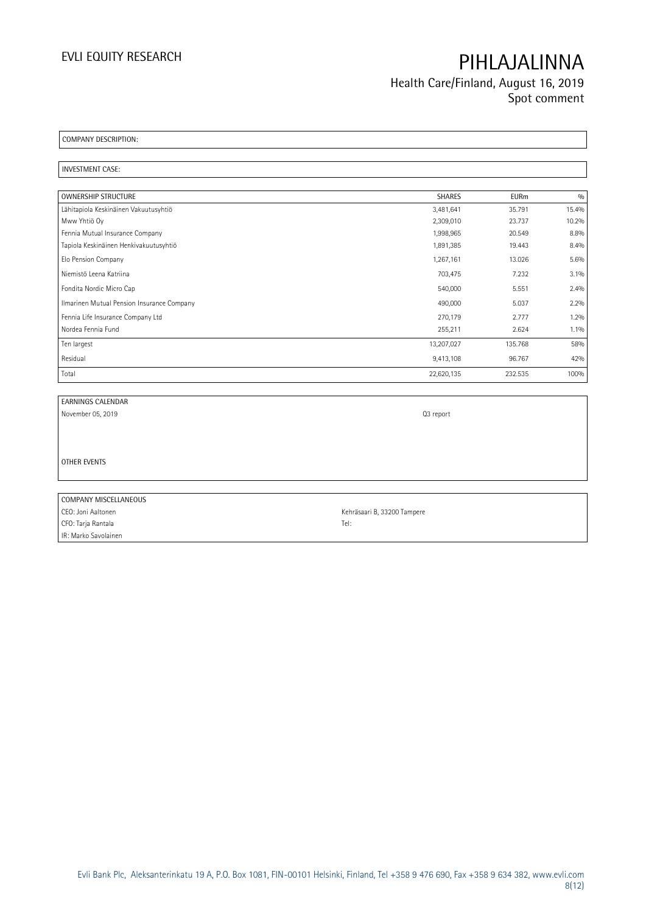Health Care/Finland, August 16, 2019 Spot comment

COMPANY DESCRIPTION:

INVESTMENT CASE:

| <b>OWNERSHIP STRUCTURE</b>                 | <b>SHARES</b> | <b>EURm</b> | 0/0   |
|--------------------------------------------|---------------|-------------|-------|
| Lähitapiola Keskinäinen Vakuutusyhtiö      | 3,481,641     | 35.791      | 15.4% |
| Mww Yhtiö Oy                               | 2,309,010     | 23.737      | 10.2% |
| Fennia Mutual Insurance Company            | 1,998,965     | 20.549      | 8.8%  |
| Tapiola Keskinäinen Henkivakuutusyhtiö     | 1,891,385     | 19.443      | 8.4%  |
| Elo Pension Company                        | 1,267,161     | 13.026      | 5.6%  |
| Niemistö Leena Katriina                    | 703,475       | 7.232       | 3.1%  |
| Fondita Nordic Micro Cap                   | 540,000       | 5.551       | 2.4%  |
| Ilmarinen Mutual Pension Insurance Company | 490,000       | 5.037       | 2.2%  |
| Fennia Life Insurance Company Ltd          | 270,179       | 2.777       | 1.2%  |
| Nordea Fennia Fund                         | 255,211       | 2.624       | 1.1%  |
| Ten largest                                | 13,207,027    | 135.768     | 58%   |
| Residual                                   | 9,413,108     | 96.767      | 42%   |
| Total                                      | 22,620,135    | 232.535     | 100%  |

EARNINGS CALENDAR November 05, 2019 Q3 report

OTHER EVENTS

COMPANY MISCELLANEOUS CEO: Joni Aaltonen Kehräsaari B, 33200 Tampere CFO: Tarja Rantala Tel: IR: Marko Savolainen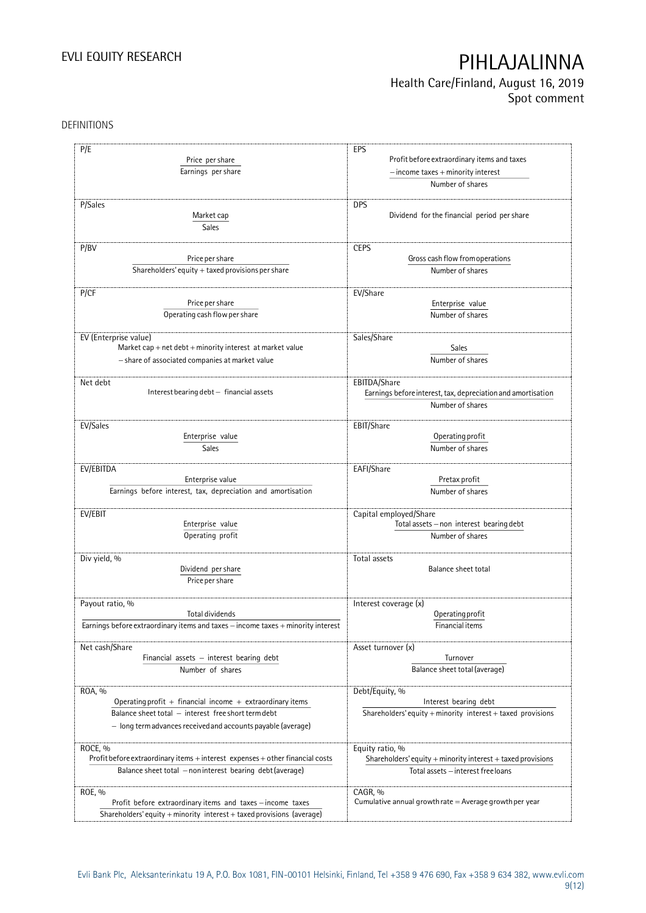## Health Care/Finland, August 16, 2019 Spot comment

DEFINITIONS

| P/E                                                                              | EPS                                                                  |
|----------------------------------------------------------------------------------|----------------------------------------------------------------------|
|                                                                                  |                                                                      |
| Price per share                                                                  | Profit before extraordinary items and taxes                          |
| Earnings per share                                                               | $-$ income taxes $+$ minority interest                               |
|                                                                                  | Number of shares                                                     |
| P/Sales                                                                          | <b>DPS</b>                                                           |
|                                                                                  | Dividend for the financial period per share                          |
| Market cap                                                                       |                                                                      |
| Sales                                                                            |                                                                      |
| P/BV                                                                             | <b>CEPS</b>                                                          |
| Price per share                                                                  | Gross cash flow from operations                                      |
| Shareholders' equity $+$ taxed provisions per share                              | Number of shares                                                     |
|                                                                                  |                                                                      |
| P/CF                                                                             | EV/Share                                                             |
| Price per share                                                                  | Enterprise value                                                     |
| Operating cash flow per share                                                    | Number of shares                                                     |
|                                                                                  |                                                                      |
| EV (Enterprise value)                                                            | Sales/Share                                                          |
| Market cap + net $debt$ + minority interest at market value                      | Sales                                                                |
| - share of associated companies at market value                                  | Number of shares                                                     |
|                                                                                  |                                                                      |
| Net debt                                                                         | EBITDA/Share                                                         |
| Interest bearing debt - financial assets                                         | Earnings before interest, tax, depreciation and amortisation         |
|                                                                                  | Number of shares                                                     |
|                                                                                  |                                                                      |
| EV/Sales<br>Enterprise value                                                     | EBIT/Share<br>Operating profit                                       |
|                                                                                  |                                                                      |
| Sales                                                                            | Number of shares                                                     |
| EV/EBITDA                                                                        | EAFI/Share                                                           |
| Enterprise value                                                                 | Pretax profit                                                        |
| Earnings before interest, tax, depreciation and amortisation                     | Number of shares                                                     |
|                                                                                  |                                                                      |
| EV/EBIT                                                                          | Capital employed/Share                                               |
| Enterprise value                                                                 | Total assets - non interest bearing debt                             |
| Operating profit                                                                 | Number of shares                                                     |
|                                                                                  |                                                                      |
| Div yield, %                                                                     | Total assets<br><b>Balance sheet total</b>                           |
| Dividend per share                                                               |                                                                      |
| Price per share                                                                  |                                                                      |
| Payout ratio, %                                                                  | Interest coverage (x)                                                |
| Total dividends                                                                  | Operating profit                                                     |
| Earnings before extraordinary items and taxes - income taxes + minority interest | Financial items                                                      |
|                                                                                  |                                                                      |
| Net cash/Share                                                                   | Asset turnover (x)                                                   |
| Financial assets - interest bearing debt                                         | Turnover                                                             |
| Number of shares                                                                 | Balance sheet total (average)                                        |
|                                                                                  |                                                                      |
| ROA, %                                                                           | Debt/Equity, %                                                       |
| Operating profit $+$ financial income $+$ extraordinary items                    | Interest bearing debt                                                |
| Balance sheet total - interest free short term debt                              | Shareholders' equity $+$ minority interest $+$ taxed provisions      |
| - long termadvances received and accounts payable (average)                      |                                                                      |
|                                                                                  |                                                                      |
| ROCE, %                                                                          | Equity ratio, %                                                      |
| Profit before extraordinary items + interest expenses + other financial costs    | Shareholders' equity $+$ minority interest $+$ taxed provisions      |
| Balance sheet total - non interest bearing debt (average)                        | Total assets - interest free loans                                   |
|                                                                                  |                                                                      |
| ROE, %<br>Profit before extraordinary items and taxes - income taxes             | CAGR, %<br>Cumulative annual growth rate $=$ Average growth per year |
| Shareholders' equity + minority interest + taxed provisions (average)            |                                                                      |
|                                                                                  |                                                                      |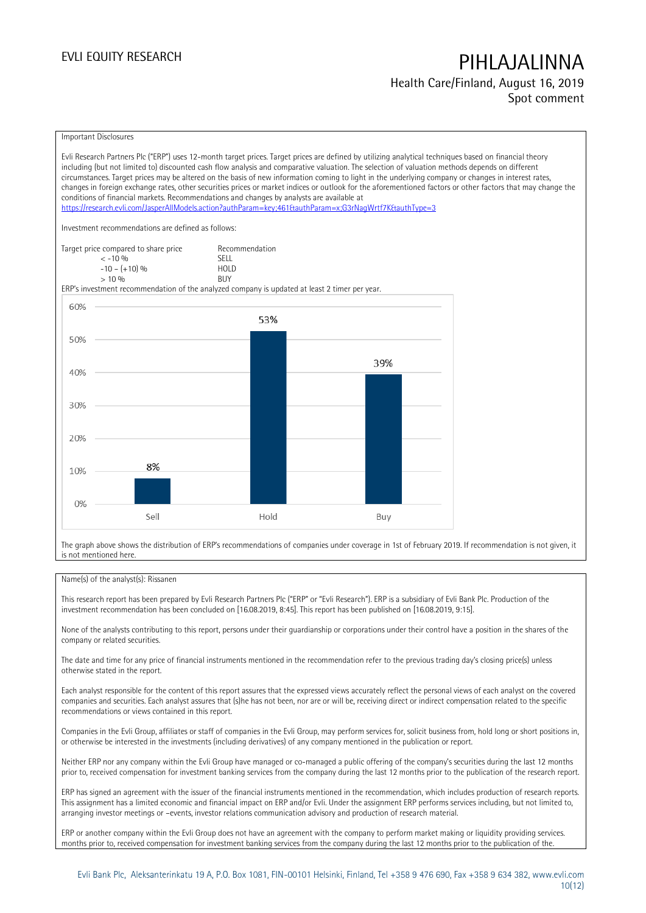### Health Care/Finland, August 16, 2019 Spot comment

#### Important Disclosures

Evli Research Partners Plc ("ERP") uses 12-month target prices. Target prices are defined by utilizing analytical techniques based on financial theory including (but not limited to) discounted cash flow analysis and comparative valuation. The selection of valuation methods depends on different circumstances. Target prices may be altered on the basis of new information coming to light in the underlying company or changes in interest rates, changes in foreign exchange rates, other securities prices or market indices or outlook for the aforementioned factors or other factors that may change the conditions of financial markets. Recommendations and changes by analysts are available at <https://research.evli.com/JasperAllModels.action?authParam=key;461&authParam=x;G3rNagWrtf7K&authType=3> Investment recommendations are defined as follows: Target price compared to share price Recommendation<br>  $\leq 10\%$  $\langle 5, 10, 10 \rangle$  SELL<br>  $\langle -10, 1, 10 \rangle$   $\langle 6, 10 \rangle$   $\langle 10, 10 \rangle$  $-10 - (+10) \%$  HOL<br>  $> 10 \%$  RIJY  $> 10\%$ ERP's investment recommendation of the analyzed company is updated at least 2 timer per year. 60% 53% 50% 39% 40% 30% 20% 8% 10%  $0%$ Sell Hold Buy

The graph above shows the distribution of ERP's recommendations of companies under coverage in 1st of February 2019. If recommendation is not given, it is not mentioned here.

### Name(s) of the analyst(s): Rissanen

This research report has been prepared by Evli Research Partners Plc ("ERP" or "Evli Research"). ERP is a subsidiary of Evli Bank Plc. Production of the investment recommendation has been concluded on [16.08.2019, 8:45]. This report has been published on [16.08.2019, 9:15].

None of the analysts contributing to this report, persons under their guardianship or corporations under their control have a position in the shares of the company or related securities.

The date and time for any price of financial instruments mentioned in the recommendation refer to the previous trading day's closing price(s) unless otherwise stated in the report.

Each analyst responsible for the content of this report assures that the expressed views accurately reflect the personal views of each analyst on the covered companies and securities. Each analyst assures that (s)he has not been, nor are or will be, receiving direct or indirect compensation related to the specific recommendations or views contained in this report.

Companies in the Evli Group, affiliates or staff of companies in the Evli Group, may perform services for, solicit business from, hold long or short positions in, or otherwise be interested in the investments (including derivatives) of any company mentioned in the publication or report.

Neither ERP nor any company within the Evli Group have managed or co-managed a public offering of the company's securities during the last 12 months prior to, received compensation for investment banking services from the company during the last 12 months prior to the publication of the research report.

ERP has signed an agreement with the issuer of the financial instruments mentioned in the recommendation, which includes production of research reports. This assignment has a limited economic and financial impact on ERP and/or Evli. Under the assignment ERP performs services including, but not limited to, arranging investor meetings or –events, investor relations communication advisory and production of research material.

ERP or another company within the Evli Group does not have an agreement with the company to perform market making or liquidity providing services. months prior to, received compensation for investment banking services from the company during the last 12 months prior to the publication of the.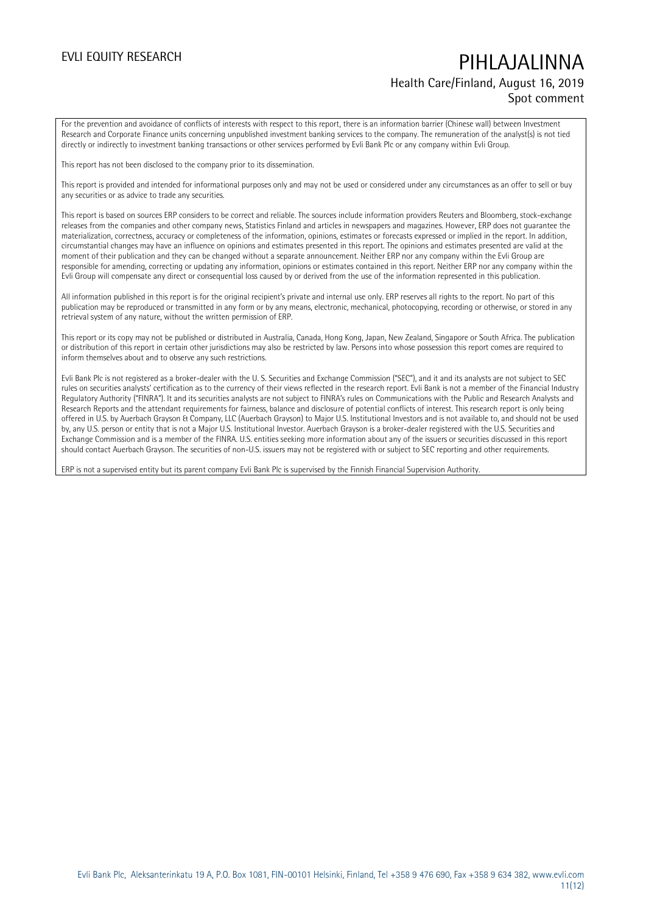## EVLI EQUITY RESEARCH PIHLAJALINNA Health Care/Finland, August 16, 2019 Spot comment

For the prevention and avoidance of conflicts of interests with respect to this report, there is an information barrier (Chinese wall) between Investment Research and Corporate Finance units concerning unpublished investment banking services to the company. The remuneration of the analyst(s) is not tied directly or indirectly to investment banking transactions or other services performed by Evli Bank Plc or any company within Evli Group.

This report has not been disclosed to the company prior to its dissemination.

This report is provided and intended for informational purposes only and may not be used or considered under any circumstances as an offer to sell or buy any securities or as advice to trade any securities.

This report is based on sources ERP considers to be correct and reliable. The sources include information providers Reuters and Bloomberg, stock-exchange releases from the companies and other company news, Statistics Finland and articles in newspapers and magazines. However, ERP does not guarantee the materialization, correctness, accuracy or completeness of the information, opinions, estimates or forecasts expressed or implied in the report. In addition, circumstantial changes may have an influence on opinions and estimates presented in this report. The opinions and estimates presented are valid at the moment of their publication and they can be changed without a separate announcement. Neither ERP nor any company within the Evli Group are responsible for amending, correcting or updating any information, opinions or estimates contained in this report. Neither ERP nor any company within the Evli Group will compensate any direct or consequential loss caused by or derived from the use of the information represented in this publication.

All information published in this report is for the original recipient's private and internal use only. ERP reserves all rights to the report. No part of this publication may be reproduced or transmitted in any form or by any means, electronic, mechanical, photocopying, recording or otherwise, or stored in any retrieval system of any nature, without the written permission of ERP.

This report or its copy may not be published or distributed in Australia, Canada, Hong Kong, Japan, New Zealand, Singapore or South Africa. The publication or distribution of this report in certain other jurisdictions may also be restricted by law. Persons into whose possession this report comes are required to inform themselves about and to observe any such restrictions.

Evli Bank Plc is not registered as a broker-dealer with the U. S. Securities and Exchange Commission ("SEC"), and it and its analysts are not subject to SEC rules on securities analysts' certification as to the currency of their views reflected in the research report. Evli Bank is not a member of the Financial Industry Regulatory Authority ("FINRA"). It and its securities analysts are not subject to FINRA's rules on Communications with the Public and Research Analysts and Research Reports and the attendant requirements for fairness, balance and disclosure of potential conflicts of interest. This research report is only being offered in U.S. by Auerbach Grayson & Company, LLC (Auerbach Grayson) to Major U.S. Institutional Investors and is not available to, and should not be used by, any U.S. person or entity that is not a Major U.S. Institutional Investor. Auerbach Grayson is a broker-dealer registered with the U.S. Securities and Exchange Commission and is a member of the FINRA. U.S. entities seeking more information about any of the issuers or securities discussed in this report should contact Auerbach Grayson. The securities of non-U.S. issuers may not be registered with or subject to SEC reporting and other requirements.

ERP is not a supervised entity but its parent company Evli Bank Plc is supervised by the Finnish Financial Supervision Authority.